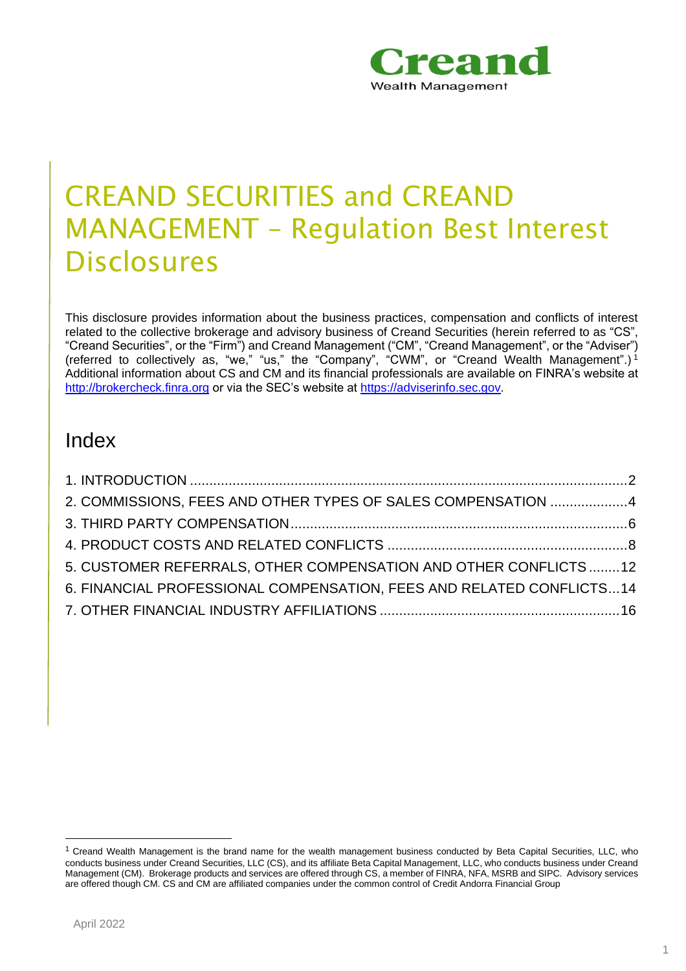

# CREAND SECURITIES and CREAND MANAGEMENT – Regulation Best Interest **Disclosures**

This disclosure provides information about the business practices, compensation and conflicts of interest related to the collective brokerage and advisory business of Creand Securities (herein referred to as "CS", "Creand Securities", or the "Firm") and Creand Management ("CM", "Creand Management", or the "Adviser") (referred to collectively as, "we," "us," the "Company", "CWM", or "Creand Wealth Management".)<sup>1</sup> Additional information about CS and CM and its financial professionals are available on FINRA's website at [http://brokercheck.finra.org](http://brokercheck.finra.org/) or via the SEC's website at [https://adviserinfo.sec.gov.](https://adviserinfo.sec.gov/)

## Index

<span id="page-0-0"></span>

| 2. COMMISSIONS, FEES AND OTHER TYPES OF SALES COMPENSATION 4         |  |
|----------------------------------------------------------------------|--|
|                                                                      |  |
|                                                                      |  |
| 5. CUSTOMER REFERRALS, OTHER COMPENSATION AND OTHER CONFLICTS12      |  |
| 6. FINANCIAL PROFESSIONAL COMPENSATION, FEES AND RELATED CONFLICTS14 |  |
|                                                                      |  |
|                                                                      |  |

<sup>1</sup> Creand Wealth Management is the brand name for the wealth management business conducted by Beta Capital Securities, LLC, who conducts business under Creand Securities, LLC (CS), and its affiliate Beta Capital Management, LLC, who conducts business under Creand Management (CM). Brokerage products and services are offered through CS, a member of FINRA, NFA, MSRB and SIPC. Advisory services are offered though CM. CS and CM are affiliated companies under the common control of Credit Andorra Financial Group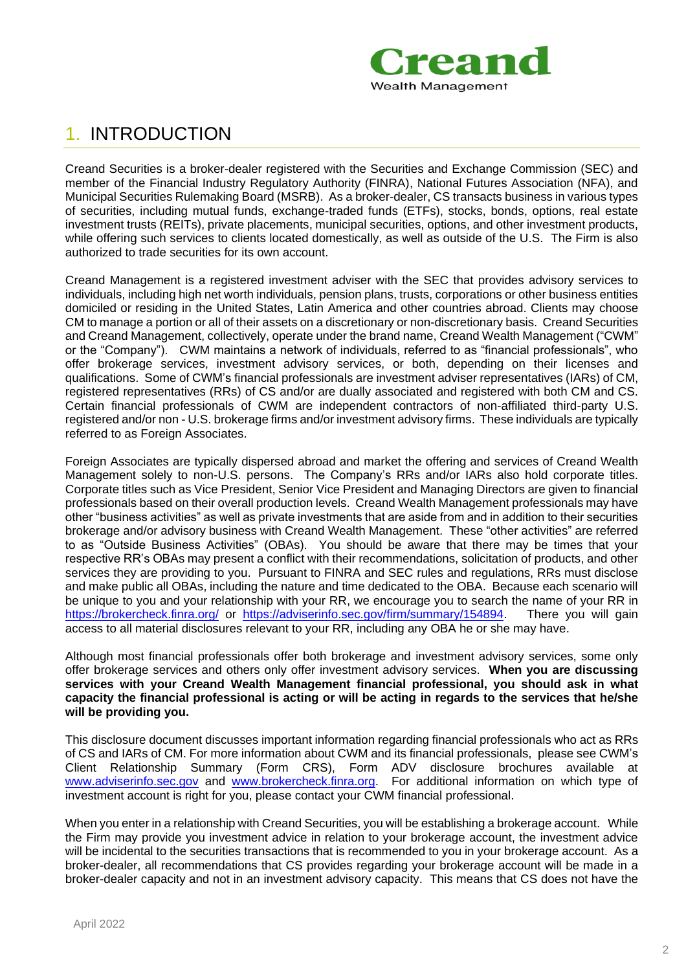

## 1. INTRODUCTION

Creand Securities is a broker-dealer registered with the Securities and Exchange Commission (SEC) and member of the Financial Industry Regulatory Authority (FINRA), National Futures Association (NFA), and Municipal Securities Rulemaking Board (MSRB). As a broker-dealer, CS transacts business in various types of securities, including mutual funds, exchange-traded funds (ETFs), stocks, bonds, options, real estate investment trusts (REITs), private placements, municipal securities, options, and other investment products, while offering such services to clients located domestically, as well as outside of the U.S. The Firm is also authorized to trade securities for its own account.

Creand Management is a registered investment adviser with the SEC that provides advisory services to individuals, including high net worth individuals, pension plans, trusts, corporations or other business entities domiciled or residing in the United States, Latin America and other countries abroad. Clients may choose CM to manage a portion or all of their assets on a discretionary or non-discretionary basis. Creand Securities and Creand Management, collectively, operate under the brand name, Creand Wealth Management ("CWM" or the "Company"). CWM maintains a network of individuals, referred to as "financial professionals", who offer brokerage services, investment advisory services, or both, depending on their licenses and qualifications. Some of CWM's financial professionals are investment adviser representatives (IARs) of CM, registered representatives (RRs) of CS and/or are dually associated and registered with both CM and CS. Certain financial professionals of CWM are independent contractors of non-affiliated third-party U.S. registered and/or non - U.S. brokerage firms and/or investment advisory firms. These individuals are typically referred to as Foreign Associates.

Foreign Associates are typically dispersed abroad and market the offering and services of Creand Wealth Management solely to non-U.S. persons. The Company's RRs and/or IARs also hold corporate titles. Corporate titles such as Vice President, Senior Vice President and Managing Directors are given to financial professionals based on their overall production levels. Creand Wealth Management professionals may have other "business activities" as well as private investments that are aside from and in addition to their securities brokerage and/or advisory business with Creand Wealth Management. These "other activities" are referred to as "Outside Business Activities" (OBAs). You should be aware that there may be times that your respective RR's OBAs may present a conflict with their recommendations, solicitation of products, and other services they are providing to you. Pursuant to FINRA and SEC rules and regulations, RRs must disclose and make public all OBAs, including the nature and time dedicated to the OBA. Because each scenario will be unique to you and your relationship with your RR, we encourage you to search the name of your RR in <https://brokercheck.finra.org/> or [https://adviserinfo.sec.gov/firm/summary/154894.](https://adviserinfo.sec.gov/firm/summary/154894) There you will gain access to all material disclosures relevant to your RR, including any OBA he or she may have.

Although most financial professionals offer both brokerage and investment advisory services, some only offer brokerage services and others only offer investment advisory services. **When you are discussing services with your Creand Wealth Management financial professional, you should ask in what capacity the financial professional is acting or will be acting in regards to the services that he/she will be providing you.**

This disclosure document discusses important information regarding financial professionals who act as RRs of CS and IARs of CM. For more information about CWM and its financial professionals, please see CWM's Client Relationship Summary (Form CRS), Form ADV disclosure brochures available at [www.adviserinfo.sec.gov](http://www.adviserinfo.sec.gov/) and [www.brokercheck.finra.org.](http://www.brokercheck.finra.org/) For additional information on which type of investment account is right for you, please contact your CWM financial professional.

When you enter in a relationship with Creand Securities, you will be establishing a brokerage account. While the Firm may provide you investment advice in relation to your brokerage account, the investment advice will be incidental to the securities transactions that is recommended to you in your brokerage account. As a broker-dealer, all recommendations that CS provides regarding your brokerage account will be made in a broker-dealer capacity and not in an investment advisory capacity. This means that CS does not have the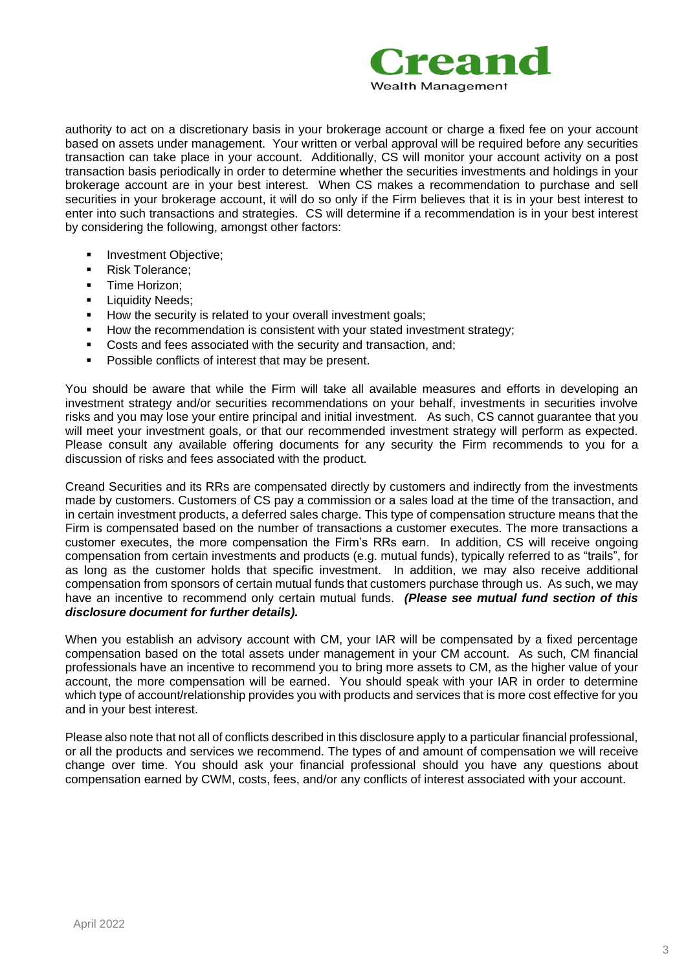

authority to act on a discretionary basis in your brokerage account or charge a fixed fee on your account based on assets under management. Your written or verbal approval will be required before any securities transaction can take place in your account. Additionally, CS will monitor your account activity on a post transaction basis periodically in order to determine whether the securities investments and holdings in your brokerage account are in your best interest. When CS makes a recommendation to purchase and sell securities in your brokerage account, it will do so only if the Firm believes that it is in your best interest to enter into such transactions and strategies. CS will determine if a recommendation is in your best interest by considering the following, amongst other factors:

- **■** Investment Objective;
- Risk Tolerance;
- **·** Time Horizon;
- **·** Liquidity Needs;
- **EXECUTE:** How the security is related to your overall investment goals;
- How the recommendation is consistent with your stated investment strategy;
- Costs and fees associated with the security and transaction, and;
- Possible conflicts of interest that may be present.

You should be aware that while the Firm will take all available measures and efforts in developing an investment strategy and/or securities recommendations on your behalf, investments in securities involve risks and you may lose your entire principal and initial investment. As such, CS cannot guarantee that you will meet your investment goals, or that our recommended investment strategy will perform as expected. Please consult any available offering documents for any security the Firm recommends to you for a discussion of risks and fees associated with the product.

Creand Securities and its RRs are compensated directly by customers and indirectly from the investments made by customers. Customers of CS pay a commission or a sales load at the time of the transaction, and in certain investment products, a deferred sales charge. This type of compensation structure means that the Firm is compensated based on the number of transactions a customer executes. The more transactions a customer executes, the more compensation the Firm's RRs earn. In addition, CS will receive ongoing compensation from certain investments and products (e.g. mutual funds), typically referred to as "trails", for as long as the customer holds that specific investment. In addition, we may also receive additional compensation from sponsors of certain mutual funds that customers purchase through us. As such, we may have an incentive to recommend only certain mutual funds. *(Please see mutual fund section of this disclosure document for further details).*

When you establish an advisory account with CM, your IAR will be compensated by a fixed percentage compensation based on the total assets under management in your CM account. As such, CM financial professionals have an incentive to recommend you to bring more assets to CM, as the higher value of your account, the more compensation will be earned. You should speak with your IAR in order to determine which type of account/relationship provides you with products and services that is more cost effective for you and in your best interest.

Please also note that not all of conflicts described in this disclosure apply to a particular financial professional, or all the products and services we recommend. The types of and amount of compensation we will receive change over time. You should ask your financial professional should you have any questions about compensation earned by CWM, costs, fees, and/or any conflicts of interest associated with your account.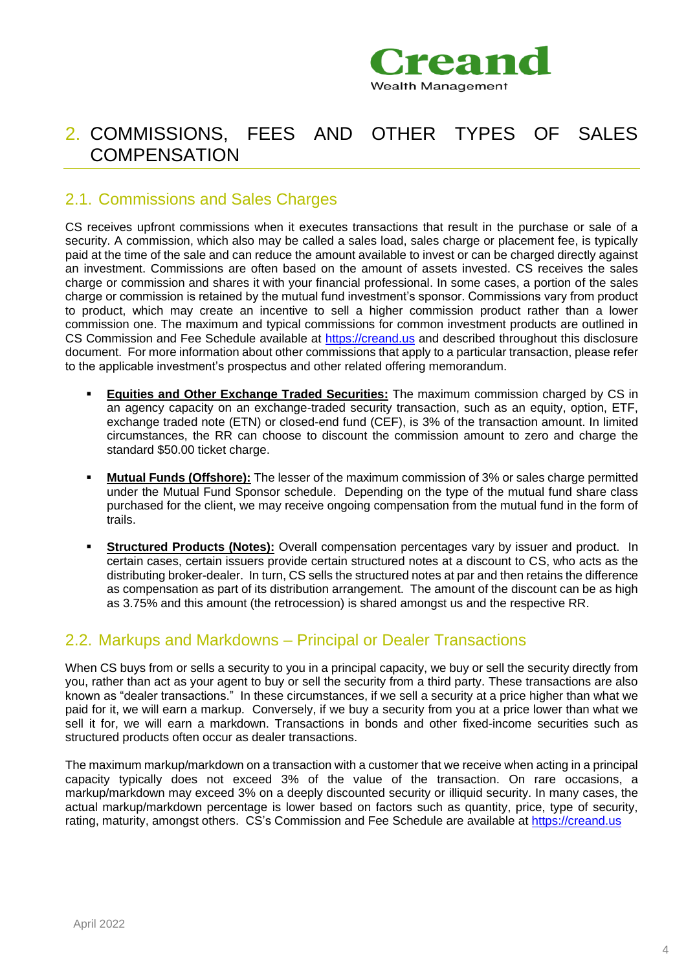

## <span id="page-3-0"></span>2. COMMISSIONS, FEES AND OTHER TYPES OF SALES **COMPENSATION**

### 2.1. Commissions and Sales Charges

CS receives upfront commissions when it executes transactions that result in the purchase or sale of a security. A commission, which also may be called a sales load, sales charge or placement fee, is typically paid at the time of the sale and can reduce the amount available to invest or can be charged directly against an investment. Commissions are often based on the amount of assets invested. CS receives the sales charge or commission and shares it with your financial professional. In some cases, a portion of the sales charge or commission is retained by the mutual fund investment's sponsor. Commissions vary from product to product, which may create an incentive to sell a higher commission product rather than a lower commission one. The maximum and typical commissions for common investment products are outlined in CS Commission and Fee Schedule available at [https://creand.us](https://creand.us/) and described throughout this disclosure document. For more information about other commissions that apply to a particular transaction, please refer to the applicable investment's prospectus and other related offering memorandum.

- **Equities and Other Exchange Traded Securities:** The maximum commission charged by CS in an agency capacity on an exchange-traded security transaction, such as an equity, option, ETF, exchange traded note (ETN) or closed-end fund (CEF), is 3% of the transaction amount. In limited circumstances, the RR can choose to discount the commission amount to zero and charge the standard \$50.00 ticket charge.
- **Mutual Funds (Offshore):** The lesser of the maximum commission of 3% or sales charge permitted under the Mutual Fund Sponsor schedule. Depending on the type of the mutual fund share class purchased for the client, we may receive ongoing compensation from the mutual fund in the form of trails.
- **Structured Products (Notes):** Overall compensation percentages vary by issuer and product. In certain cases, certain issuers provide certain structured notes at a discount to CS, who acts as the distributing broker-dealer. In turn, CS sells the structured notes at par and then retains the difference as compensation as part of its distribution arrangement. The amount of the discount can be as high as 3.75% and this amount (the retrocession) is shared amongst us and the respective RR.

### 2.2. Markups and Markdowns – Principal or Dealer Transactions

When CS buys from or sells a security to you in a principal capacity, we buy or sell the security directly from you, rather than act as your agent to buy or sell the security from a third party. These transactions are also known as "dealer transactions." In these circumstances, if we sell a security at a price higher than what we paid for it, we will earn a markup. Conversely, if we buy a security from you at a price lower than what we sell it for, we will earn a markdown. Transactions in bonds and other fixed-income securities such as structured products often occur as dealer transactions.

The maximum markup/markdown on a transaction with a customer that we receive when acting in a principal capacity typically does not exceed 3% of the value of the transaction. On rare occasions, a markup/markdown may exceed 3% on a deeply discounted security or illiquid security. In many cases, the actual markup/markdown percentage is lower based on factors such as quantity, price, type of security, rating, maturity, amongst others. CS's Commission and Fee Schedule are available at [https://creand.us](https://creand.us/)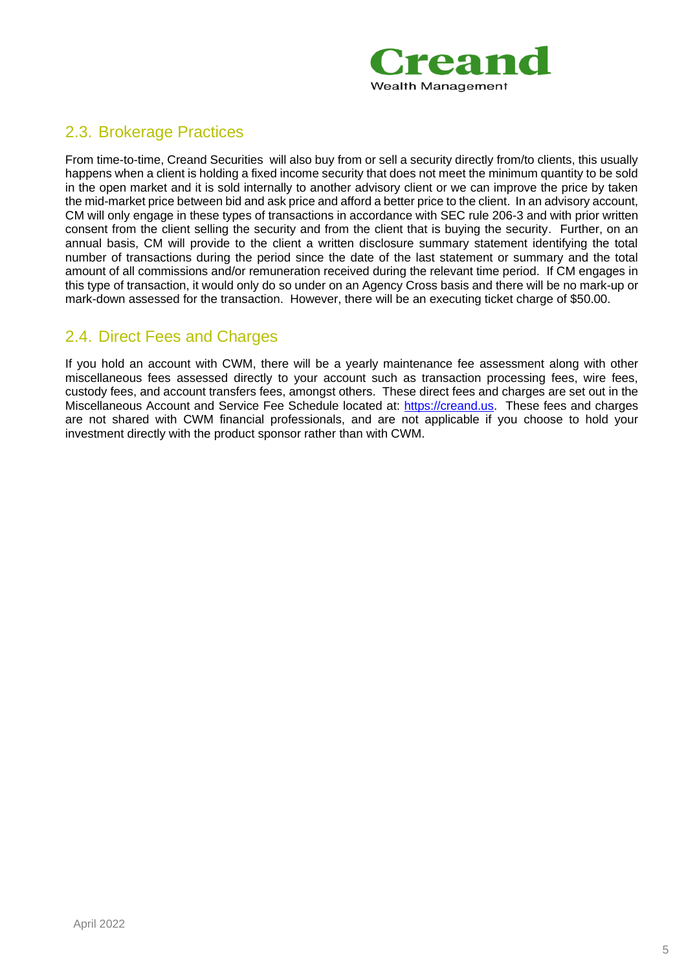

### 2.3. Brokerage Practices

From time-to-time, Creand Securities will also buy from or sell a security directly from/to clients, this usually happens when a client is holding a fixed income security that does not meet the minimum quantity to be sold in the open market and it is sold internally to another advisory client or we can improve the price by taken the mid-market price between bid and ask price and afford a better price to the client. In an advisory account, CM will only engage in these types of transactions in accordance with SEC rule 206-3 and with prior written consent from the client selling the security and from the client that is buying the security. Further, on an annual basis, CM will provide to the client a written disclosure summary statement identifying the total number of transactions during the period since the date of the last statement or summary and the total amount of all commissions and/or remuneration received during the relevant time period. If CM engages in this type of transaction, it would only do so under on an Agency Cross basis and there will be no mark-up or mark-down assessed for the transaction. However, there will be an executing ticket charge of \$50.00.

### 2.4. Direct Fees and Charges

If you hold an account with CWM, there will be a yearly maintenance fee assessment along with other miscellaneous fees assessed directly to your account such as transaction processing fees, wire fees, custody fees, and account transfers fees, amongst others. These direct fees and charges are set out in the Miscellaneous Account and Service Fee Schedule located at: [https://creand.us.](https://creand.us/) These fees and charges are not shared with CWM financial professionals, and are not applicable if you choose to hold your investment directly with the product sponsor rather than with CWM.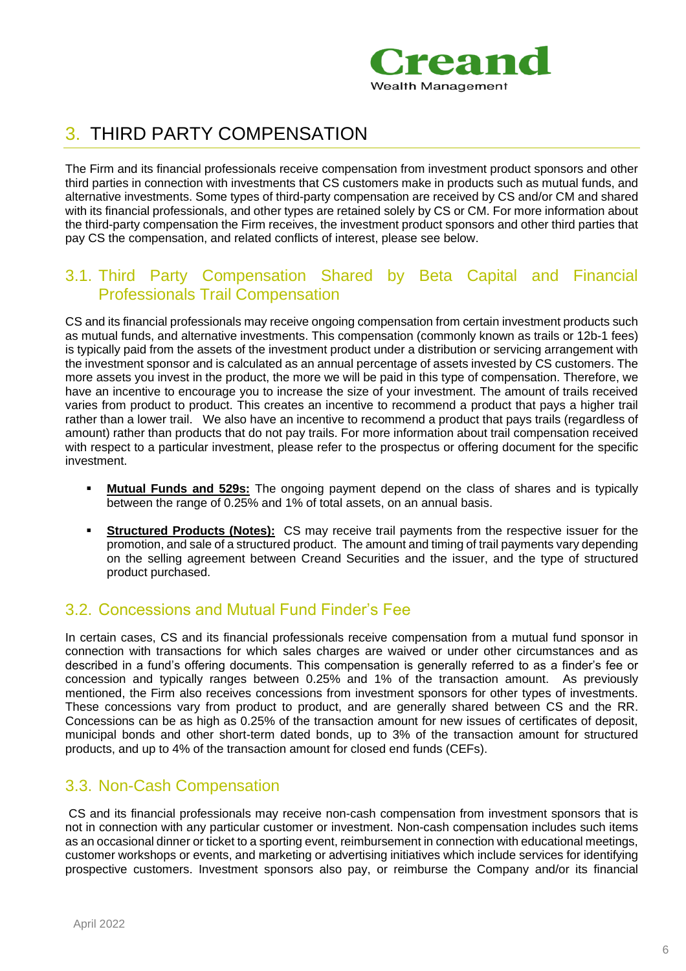

## <span id="page-5-0"></span>3. THIRD PARTY COMPENSATION

The Firm and its financial professionals receive compensation from investment product sponsors and other third parties in connection with investments that CS customers make in products such as mutual funds, and alternative investments. Some types of third-party compensation are received by CS and/or CM and shared with its financial professionals, and other types are retained solely by CS or CM. For more information about the third-party compensation the Firm receives, the investment product sponsors and other third parties that pay CS the compensation, and related conflicts of interest, please see below.

### 3.1. Third Party Compensation Shared by Beta Capital and Financial Professionals Trail Compensation

CS and its financial professionals may receive ongoing compensation from certain investment products such as mutual funds, and alternative investments. This compensation (commonly known as trails or 12b-1 fees) is typically paid from the assets of the investment product under a distribution or servicing arrangement with the investment sponsor and is calculated as an annual percentage of assets invested by CS customers. The more assets you invest in the product, the more we will be paid in this type of compensation. Therefore, we have an incentive to encourage you to increase the size of your investment. The amount of trails received varies from product to product. This creates an incentive to recommend a product that pays a higher trail rather than a lower trail. We also have an incentive to recommend a product that pays trails (regardless of amount) rather than products that do not pay trails. For more information about trail compensation received with respect to a particular investment, please refer to the prospectus or offering document for the specific investment.

- **Mutual Funds and 529s:** The ongoing payment depend on the class of shares and is typically between the range of 0.25% and 1% of total assets, on an annual basis.
- **Structured Products (Notes):** CS may receive trail payments from the respective issuer for the promotion, and sale of a structured product. The amount and timing of trail payments vary depending on the selling agreement between Creand Securities and the issuer, and the type of structured product purchased.

### 3.2. Concessions and Mutual Fund Finder's Fee

In certain cases, CS and its financial professionals receive compensation from a mutual fund sponsor in connection with transactions for which sales charges are waived or under other circumstances and as described in a fund's offering documents. This compensation is generally referred to as a finder's fee or concession and typically ranges between 0.25% and 1% of the transaction amount. As previously mentioned, the Firm also receives concessions from investment sponsors for other types of investments. These concessions vary from product to product, and are generally shared between CS and the RR. Concessions can be as high as 0.25% of the transaction amount for new issues of certificates of deposit, municipal bonds and other short-term dated bonds, up to 3% of the transaction amount for structured products, and up to 4% of the transaction amount for closed end funds (CEFs).

### 3.3. Non-Cash Compensation

CS and its financial professionals may receive non-cash compensation from investment sponsors that is not in connection with any particular customer or investment. Non-cash compensation includes such items as an occasional dinner or ticket to a sporting event, reimbursement in connection with educational meetings, customer workshops or events, and marketing or advertising initiatives which include services for identifying prospective customers. Investment sponsors also pay, or reimburse the Company and/or its financial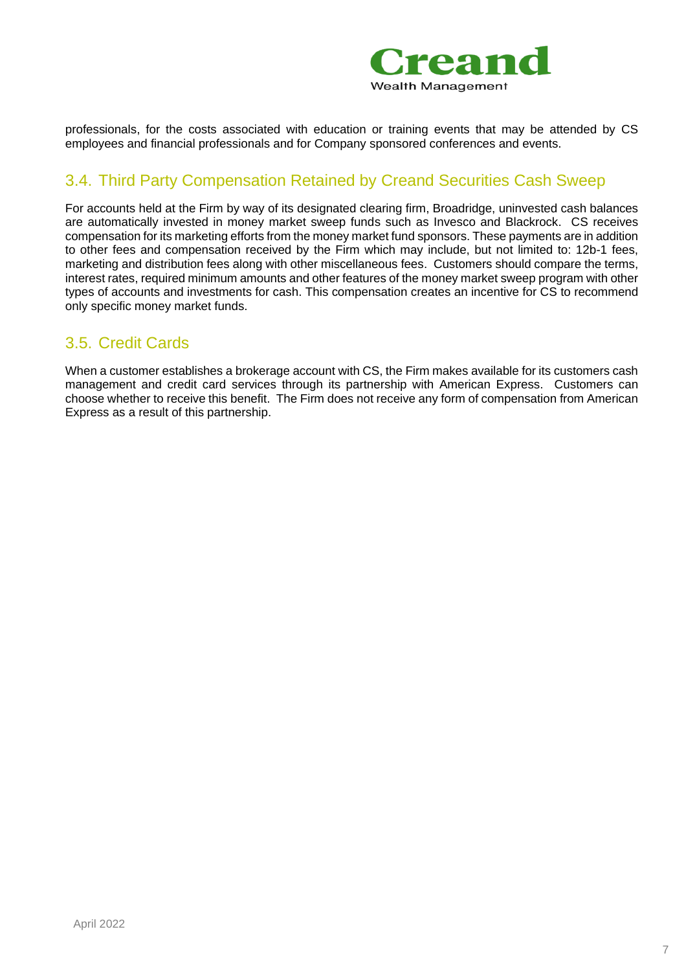

professionals, for the costs associated with education or training events that may be attended by CS employees and financial professionals and for Company sponsored conferences and events.

### 3.4. Third Party Compensation Retained by Creand Securities Cash Sweep

For accounts held at the Firm by way of its designated clearing firm, Broadridge, uninvested cash balances are automatically invested in money market sweep funds such as Invesco and Blackrock. CS receives compensation for its marketing efforts from the money market fund sponsors. These payments are in addition to other fees and compensation received by the Firm which may include, but not limited to: 12b-1 fees, marketing and distribution fees along with other miscellaneous fees. Customers should compare the terms, interest rates, required minimum amounts and other features of the money market sweep program with other types of accounts and investments for cash. This compensation creates an incentive for CS to recommend only specific money market funds.

### 3.5. Credit Cards

When a customer establishes a brokerage account with CS, the Firm makes available for its customers cash management and credit card services through its partnership with American Express. Customers can choose whether to receive this benefit. The Firm does not receive any form of compensation from American Express as a result of this partnership.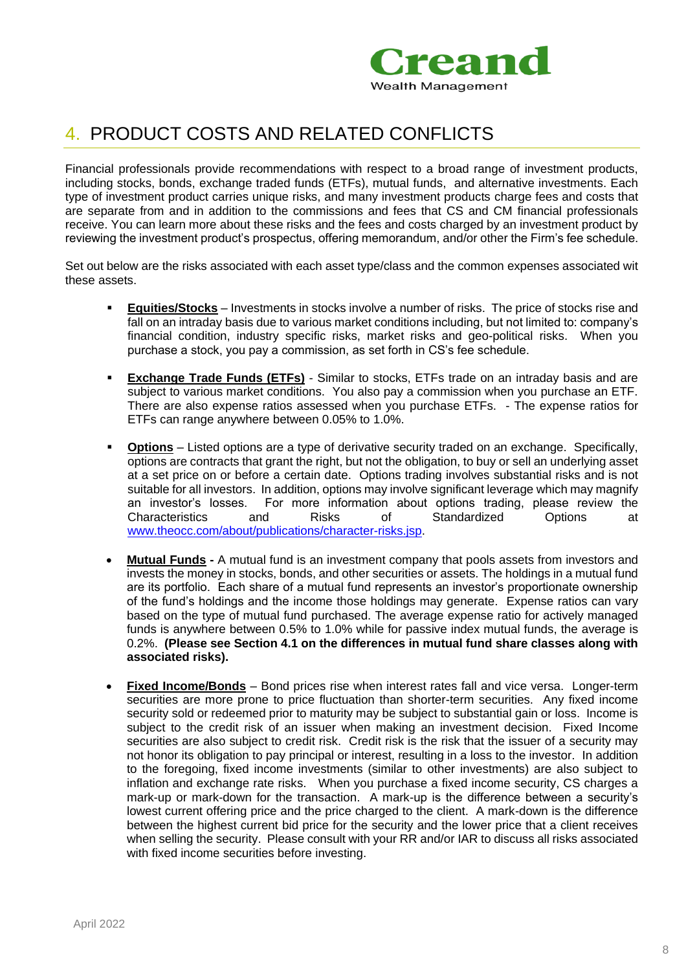

## <span id="page-7-0"></span>4. PRODUCT COSTS AND RELATED CONFLICTS

Financial professionals provide recommendations with respect to a broad range of investment products, including stocks, bonds, exchange traded funds (ETFs), mutual funds, and alternative investments. Each type of investment product carries unique risks, and many investment products charge fees and costs that are separate from and in addition to the commissions and fees that CS and CM financial professionals receive. You can learn more about these risks and the fees and costs charged by an investment product by reviewing the investment product's prospectus, offering memorandum, and/or other the Firm's fee schedule.

Set out below are the risks associated with each asset type/class and the common expenses associated wit these assets.

- **Equities/Stocks** Investments in stocks involve a number of risks. The price of stocks rise and fall on an intraday basis due to various market conditions including, but not limited to: company's financial condition, industry specific risks, market risks and geo-political risks. When you purchase a stock, you pay a commission, as set forth in CS's fee schedule.
- **Exchange Trade Funds (ETFs)** Similar to stocks, ETFs trade on an intraday basis and are subject to various market conditions. You also pay a commission when you purchase an ETF. There are also expense ratios assessed when you purchase ETFs. - The expense ratios for ETFs can range anywhere between 0.05% to 1.0%.
- **Options** Listed options are a type of derivative security traded on an exchange. Specifically, options are contracts that grant the right, but not the obligation, to buy or sell an underlying asset at a set price on or before a certain date. Options trading involves substantial risks and is not suitable for all investors. In addition, options may involve significant leverage which may magnify an investor's losses. For more information about options trading, please review the Characteristics and Risks of Standardized Options at [www.theocc.com/about/publications/character-risks.jsp.](http://www.theocc.com/about/publications/character-risks.jsp)
- **Mutual Funds -** A mutual fund is an investment company that pools assets from investors and invests the money in stocks, bonds, and other securities or assets. The holdings in a mutual fund are its portfolio. Each share of a mutual fund represents an investor's proportionate ownership of the fund's holdings and the income those holdings may generate. Expense ratios can vary based on the type of mutual fund purchased. The average expense ratio for actively managed funds is anywhere between 0.5% to 1.0% while for passive index mutual funds, the average is 0.2%. **(Please see Section 4.1 on the differences in mutual fund share classes along with associated risks).**
- **Fixed Income/Bonds** Bond prices rise when interest rates fall and vice versa. Longer-term securities are more prone to price fluctuation than shorter-term securities. Any fixed income security sold or redeemed prior to maturity may be subject to substantial gain or loss. Income is subject to the credit risk of an issuer when making an investment decision.Fixed Income securities are also subject to credit risk. Credit risk is the risk that the issuer of a security may not honor its obligation to pay principal or interest, resulting in a loss to the investor. In addition to the foregoing, fixed income investments (similar to other investments) are also subject to inflation and exchange rate risks. When you purchase a fixed income security, CS charges a mark-up or mark-down for the transaction. A mark-up is the difference between a security's lowest current offering price and the price charged to the client. A mark-down is the difference between the highest current bid price for the security and the lower price that a client receives when selling the security. Please consult with your RR and/or IAR to discuss all risks associated with fixed income securities before investing.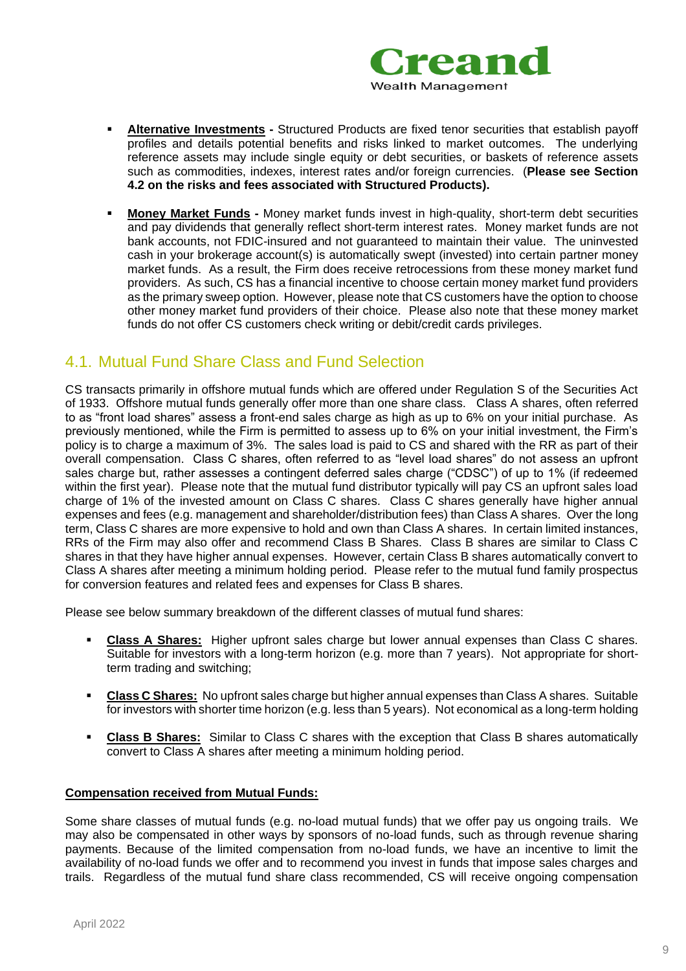

- **Alternative Investments -** Structured Products are fixed tenor securities that establish payoff profiles and details potential benefits and risks linked to market outcomes. The underlying reference assets may include single equity or debt securities, or baskets of reference assets such as commodities, indexes, interest rates and/or foreign currencies. (**Please see Section 4.2 on the risks and fees associated with Structured Products).**
- **Money Market Funds -** Money market funds invest in high-quality, short-term debt securities and pay dividends that generally reflect short-term interest rates. Money market funds are not bank accounts, not FDIC-insured and not guaranteed to maintain their value. The uninvested cash in your brokerage account(s) is automatically swept (invested) into certain partner money market funds. As a result, the Firm does receive retrocessions from these money market fund providers. As such, CS has a financial incentive to choose certain money market fund providers as the primary sweep option. However, please note that CS customers have the option to choose other money market fund providers of their choice. Please also note that these money market funds do not offer CS customers check writing or debit/credit cards privileges.

### 4.1. Mutual Fund Share Class and Fund Selection

CS transacts primarily in offshore mutual funds which are offered under Regulation S of the Securities Act of 1933. Offshore mutual funds generally offer more than one share class. Class A shares, often referred to as "front load shares" assess a front-end sales charge as high as up to 6% on your initial purchase. As previously mentioned, while the Firm is permitted to assess up to 6% on your initial investment, the Firm's policy is to charge a maximum of 3%. The sales load is paid to CS and shared with the RR as part of their overall compensation. Class C shares, often referred to as "level load shares" do not assess an upfront sales charge but, rather assesses a contingent deferred sales charge ("CDSC") of up to 1% (if redeemed within the first year). Please note that the mutual fund distributor typically will pay CS an upfront sales load charge of 1% of the invested amount on Class C shares. Class C shares generally have higher annual expenses and fees (e.g. management and shareholder/distribution fees) than Class A shares. Over the long term, Class C shares are more expensive to hold and own than Class A shares. In certain limited instances, RRs of the Firm may also offer and recommend Class B Shares. Class B shares are similar to Class C shares in that they have higher annual expenses. However, certain Class B shares automatically convert to Class A shares after meeting a minimum holding period. Please refer to the mutual fund family prospectus for conversion features and related fees and expenses for Class B shares.

Please see below summary breakdown of the different classes of mutual fund shares:

- **Class A Shares:** Higher upfront sales charge but lower annual expenses than Class C shares. Suitable for investors with a long-term horizon (e.g. more than 7 years). Not appropriate for shortterm trading and switching;
- **Class C Shares:** No upfront sales charge but higher annual expenses than Class A shares. Suitable for investors with shorter time horizon (e.g. less than 5 years). Not economical as a long-term holding
- **Class B Shares:** Similar to Class C shares with the exception that Class B shares automatically convert to Class A shares after meeting a minimum holding period.

#### **Compensation received from Mutual Funds:**

Some share classes of mutual funds (e.g. no-load mutual funds) that we offer pay us ongoing trails. We may also be compensated in other ways by sponsors of no-load funds, such as through revenue sharing payments. Because of the limited compensation from no-load funds, we have an incentive to limit the availability of no-load funds we offer and to recommend you invest in funds that impose sales charges and trails. Regardless of the mutual fund share class recommended, CS will receive ongoing compensation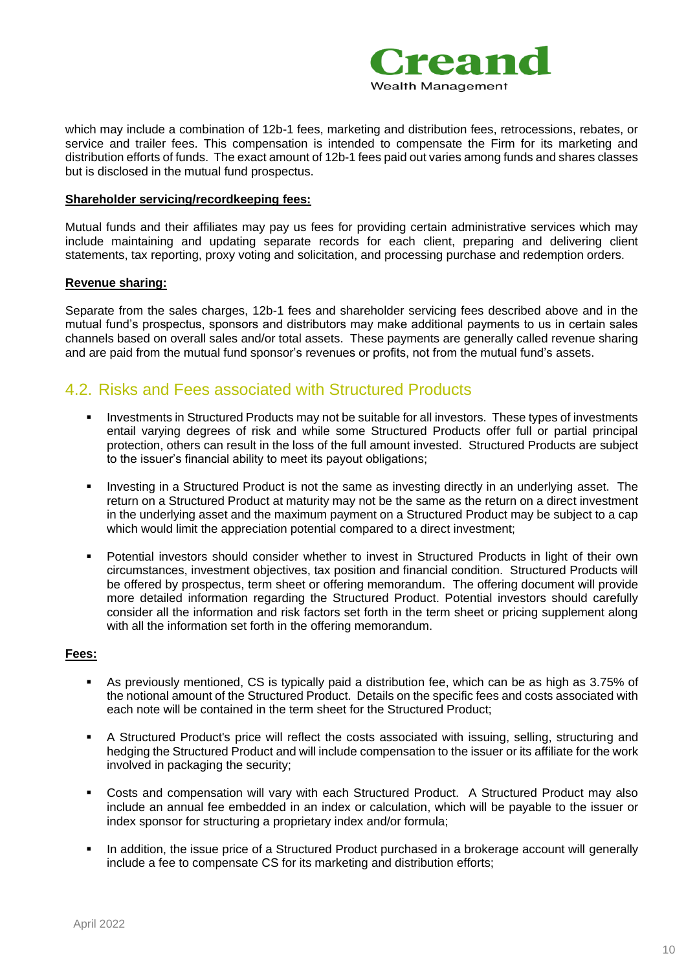

which may include a combination of 12b-1 fees, marketing and distribution fees, retrocessions, rebates, or service and trailer fees. This compensation is intended to compensate the Firm for its marketing and distribution efforts of funds. The exact amount of 12b-1 fees paid out varies among funds and shares classes but is disclosed in the mutual fund prospectus.

#### **Shareholder servicing/recordkeeping fees:**

Mutual funds and their affiliates may pay us fees for providing certain administrative services which may include maintaining and updating separate records for each client, preparing and delivering client statements, tax reporting, proxy voting and solicitation, and processing purchase and redemption orders.

#### **Revenue sharing:**

Separate from the sales charges, 12b-1 fees and shareholder servicing fees described above and in the mutual fund's prospectus, sponsors and distributors may make additional payments to us in certain sales channels based on overall sales and/or total assets. These payments are generally called revenue sharing and are paid from the mutual fund sponsor's revenues or profits, not from the mutual fund's assets.

### 4.2. Risks and Fees associated with Structured Products

- Investments in Structured Products may not be suitable for all investors. These types of investments entail varying degrees of risk and while some Structured Products offer full or partial principal protection, others can result in the loss of the full amount invested. Structured Products are subject to the issuer's financial ability to meet its payout obligations;
- Investing in a Structured Product is not the same as investing directly in an underlying asset. The return on a Structured Product at maturity may not be the same as the return on a direct investment in the underlying asset and the maximum payment on a Structured Product may be subject to a cap which would limit the appreciation potential compared to a direct investment;
- Potential investors should consider whether to invest in Structured Products in light of their own circumstances, investment objectives, tax position and financial condition. Structured Products will be offered by prospectus, term sheet or offering memorandum. The offering document will provide more detailed information regarding the Structured Product. Potential investors should carefully consider all the information and risk factors set forth in the term sheet or pricing supplement along with all the information set forth in the offering memorandum.

#### **Fees:**

- As previously mentioned, CS is typically paid a distribution fee, which can be as high as 3.75% of the notional amount of the Structured Product. Details on the specific fees and costs associated with each note will be contained in the term sheet for the Structured Product;
- A Structured Product's price will reflect the costs associated with issuing, selling, structuring and hedging the Structured Product and will include compensation to the issuer or its affiliate for the work involved in packaging the security;
- Costs and compensation will vary with each Structured Product. A Structured Product may also include an annual fee embedded in an index or calculation, which will be payable to the issuer or index sponsor for structuring a proprietary index and/or formula;
- **•** In addition, the issue price of a Structured Product purchased in a brokerage account will generally include a fee to compensate CS for its marketing and distribution efforts;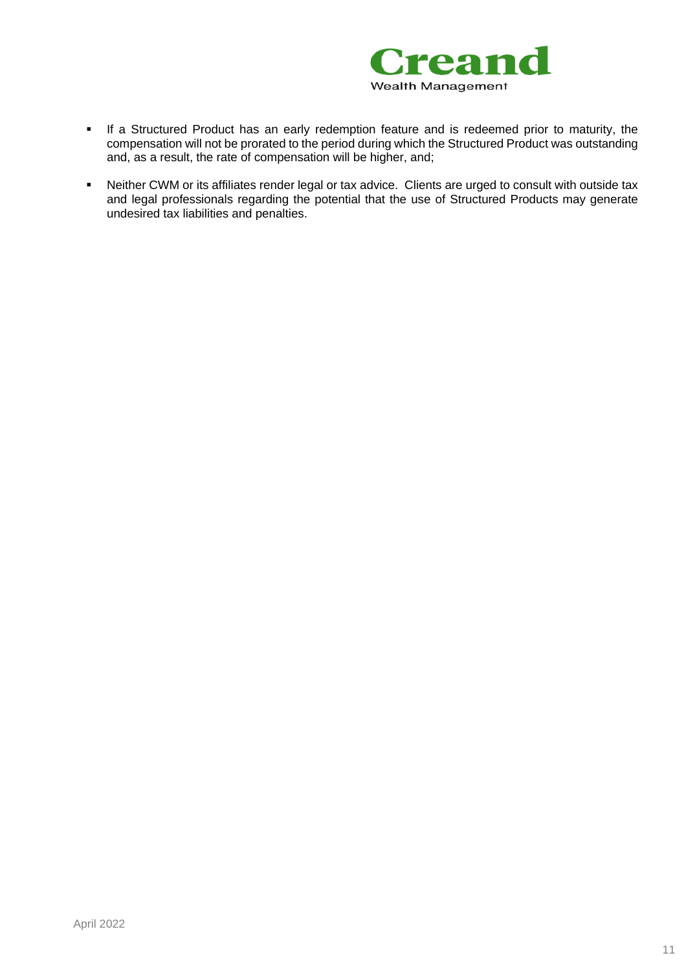

- If a Structured Product has an early redemption feature and is redeemed prior to maturity, the compensation will not be prorated to the period during which the Structured Product was outstanding and, as a result, the rate of compensation will be higher, and;
- Neither CWM or its affiliates render legal or tax advice. Clients are urged to consult with outside tax and legal professionals regarding the potential that the use of Structured Products may generate undesired tax liabilities and penalties.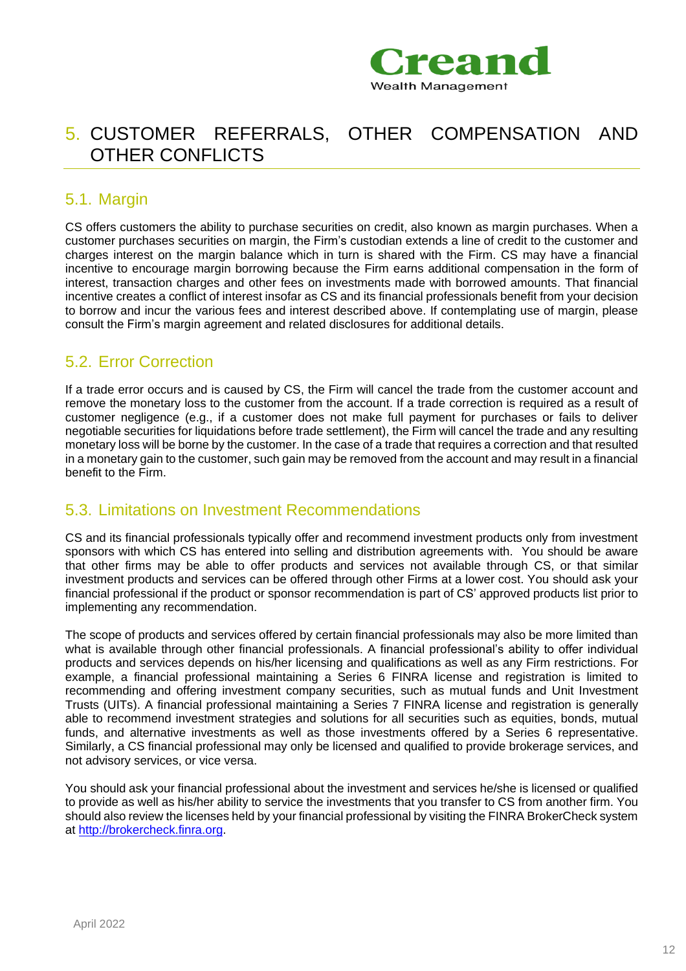

## <span id="page-11-0"></span>5. CUSTOMER REFERRALS, OTHER COMPENSATION AND OTHER CONFLICTS

### 5.1. Margin

CS offers customers the ability to purchase securities on credit, also known as margin purchases. When a customer purchases securities on margin, the Firm's custodian extends a line of credit to the customer and charges interest on the margin balance which in turn is shared with the Firm. CS may have a financial incentive to encourage margin borrowing because the Firm earns additional compensation in the form of interest, transaction charges and other fees on investments made with borrowed amounts. That financial incentive creates a conflict of interest insofar as CS and its financial professionals benefit from your decision to borrow and incur the various fees and interest described above. If contemplating use of margin, please consult the Firm's margin agreement and related disclosures for additional details.

### 5.2. Error Correction

If a trade error occurs and is caused by CS, the Firm will cancel the trade from the customer account and remove the monetary loss to the customer from the account. If a trade correction is required as a result of customer negligence (e.g., if a customer does not make full payment for purchases or fails to deliver negotiable securities for liquidations before trade settlement), the Firm will cancel the trade and any resulting monetary loss will be borne by the customer. In the case of a trade that requires a correction and that resulted in a monetary gain to the customer, such gain may be removed from the account and may result in a financial benefit to the Firm.

### 5.3. Limitations on Investment Recommendations

CS and its financial professionals typically offer and recommend investment products only from investment sponsors with which CS has entered into selling and distribution agreements with. You should be aware that other firms may be able to offer products and services not available through CS, or that similar investment products and services can be offered through other Firms at a lower cost. You should ask your financial professional if the product or sponsor recommendation is part of CS' approved products list prior to implementing any recommendation.

The scope of products and services offered by certain financial professionals may also be more limited than what is available through other financial professionals. A financial professional's ability to offer individual products and services depends on his/her licensing and qualifications as well as any Firm restrictions. For example, a financial professional maintaining a Series 6 FINRA license and registration is limited to recommending and offering investment company securities, such as mutual funds and Unit Investment Trusts (UITs). A financial professional maintaining a Series 7 FINRA license and registration is generally able to recommend investment strategies and solutions for all securities such as equities, bonds, mutual funds, and alternative investments as well as those investments offered by a Series 6 representative. Similarly, a CS financial professional may only be licensed and qualified to provide brokerage services, and not advisory services, or vice versa.

You should ask your financial professional about the investment and services he/she is licensed or qualified to provide as well as his/her ability to service the investments that you transfer to CS from another firm. You should also review the licenses held by your financial professional by visiting the FINRA BrokerCheck system at [http://brokercheck.finra.org.](http://brokercheck.finra.org/)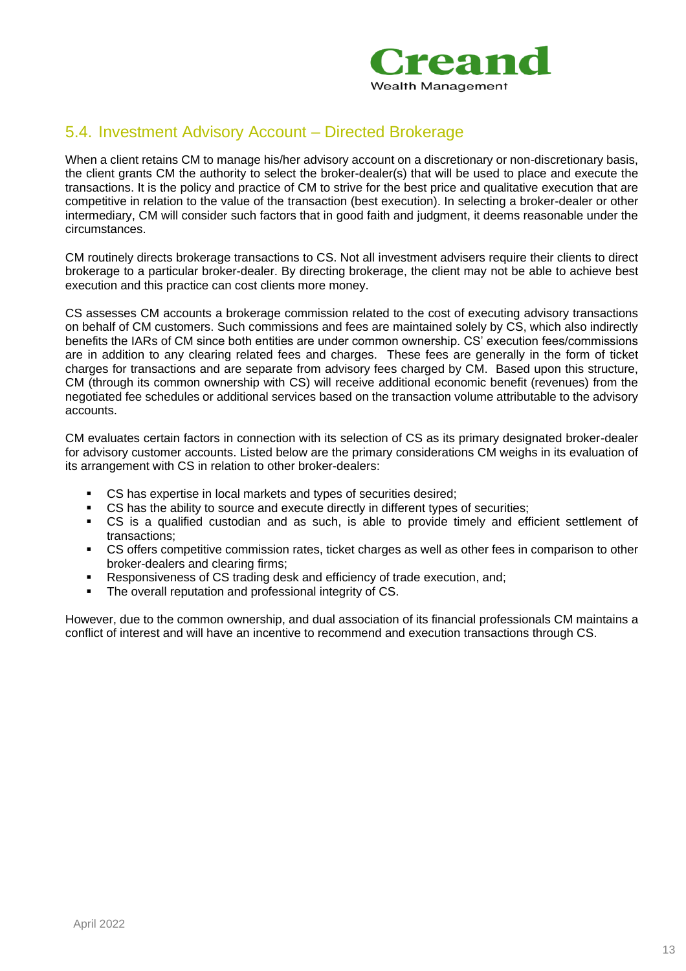

### 5.4. Investment Advisory Account – Directed Brokerage

When a client retains CM to manage his/her advisory account on a discretionary or non-discretionary basis, the client grants CM the authority to select the broker-dealer(s) that will be used to place and execute the transactions. It is the policy and practice of CM to strive for the best price and qualitative execution that are competitive in relation to the value of the transaction (best execution). In selecting a broker-dealer or other intermediary, CM will consider such factors that in good faith and judgment, it deems reasonable under the circumstances.

CM routinely directs brokerage transactions to CS. Not all investment advisers require their clients to direct brokerage to a particular broker-dealer. By directing brokerage, the client may not be able to achieve best execution and this practice can cost clients more money.

CS assesses CM accounts a brokerage commission related to the cost of executing advisory transactions on behalf of CM customers. Such commissions and fees are maintained solely by CS, which also indirectly benefits the IARs of CM since both entities are under common ownership. CS' execution fees/commissions are in addition to any clearing related fees and charges. These fees are generally in the form of ticket charges for transactions and are separate from advisory fees charged by CM. Based upon this structure, CM (through its common ownership with CS) will receive additional economic benefit (revenues) from the negotiated fee schedules or additional services based on the transaction volume attributable to the advisory accounts.

CM evaluates certain factors in connection with its selection of CS as its primary designated broker-dealer for advisory customer accounts. Listed below are the primary considerations CM weighs in its evaluation of its arrangement with CS in relation to other broker-dealers:

- CS has expertise in local markets and types of securities desired;
- CS has the ability to source and execute directly in different types of securities;
- CS is a qualified custodian and as such, is able to provide timely and efficient settlement of transactions;
- CS offers competitive commission rates, ticket charges as well as other fees in comparison to other broker-dealers and clearing firms;
- Responsiveness of CS trading desk and efficiency of trade execution, and;
- The overall reputation and professional integrity of CS.

However, due to the common ownership, and dual association of its financial professionals CM maintains a conflict of interest and will have an incentive to recommend and execution transactions through CS.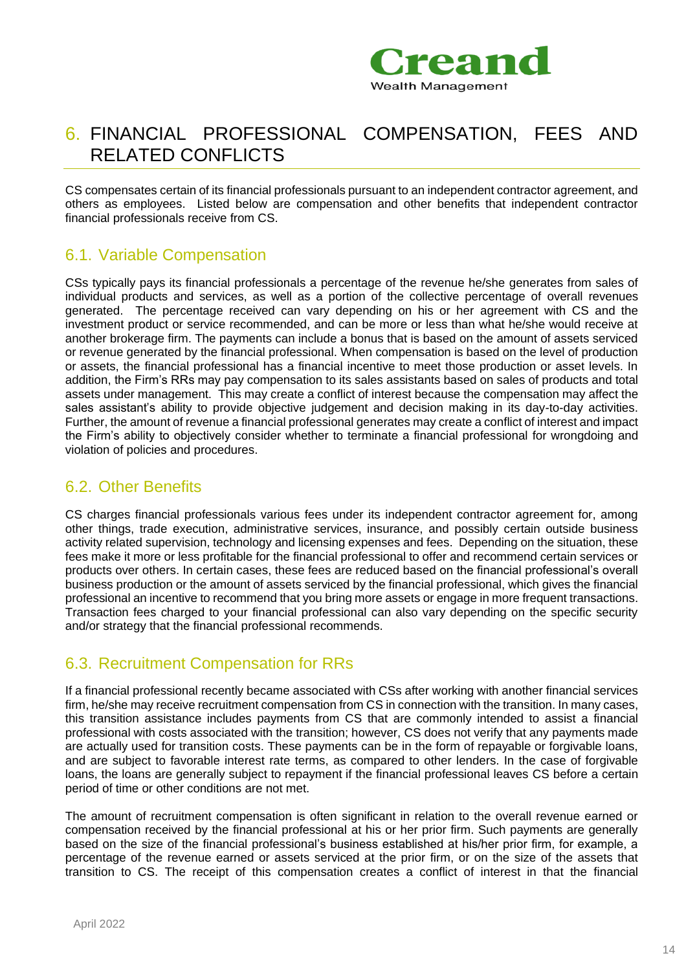

## <span id="page-13-0"></span>6. FINANCIAL PROFESSIONAL COMPENSATION, FEES AND RELATED CONFLICTS

CS compensates certain of its financial professionals pursuant to an independent contractor agreement, and others as employees. Listed below are compensation and other benefits that independent contractor financial professionals receive from CS.

### 6.1. Variable Compensation

CSs typically pays its financial professionals a percentage of the revenue he/she generates from sales of individual products and services, as well as a portion of the collective percentage of overall revenues generated. The percentage received can vary depending on his or her agreement with CS and the investment product or service recommended, and can be more or less than what he/she would receive at another brokerage firm. The payments can include a bonus that is based on the amount of assets serviced or revenue generated by the financial professional. When compensation is based on the level of production or assets, the financial professional has a financial incentive to meet those production or asset levels. In addition, the Firm's RRs may pay compensation to its sales assistants based on sales of products and total assets under management. This may create a conflict of interest because the compensation may affect the sales assistant's ability to provide objective judgement and decision making in its day-to-day activities. Further, the amount of revenue a financial professional generates may create a conflict of interest and impact the Firm's ability to objectively consider whether to terminate a financial professional for wrongdoing and violation of policies and procedures.

### 6.2. Other Benefits

CS charges financial professionals various fees under its independent contractor agreement for, among other things, trade execution, administrative services, insurance, and possibly certain outside business activity related supervision, technology and licensing expenses and fees. Depending on the situation, these fees make it more or less profitable for the financial professional to offer and recommend certain services or products over others. In certain cases, these fees are reduced based on the financial professional's overall business production or the amount of assets serviced by the financial professional, which gives the financial professional an incentive to recommend that you bring more assets or engage in more frequent transactions. Transaction fees charged to your financial professional can also vary depending on the specific security and/or strategy that the financial professional recommends.

### 6.3. Recruitment Compensation for RRs

If a financial professional recently became associated with CSs after working with another financial services firm, he/she may receive recruitment compensation from CS in connection with the transition. In many cases, this transition assistance includes payments from CS that are commonly intended to assist a financial professional with costs associated with the transition; however, CS does not verify that any payments made are actually used for transition costs. These payments can be in the form of repayable or forgivable loans, and are subject to favorable interest rate terms, as compared to other lenders. In the case of forgivable loans, the loans are generally subject to repayment if the financial professional leaves CS before a certain period of time or other conditions are not met.

The amount of recruitment compensation is often significant in relation to the overall revenue earned or compensation received by the financial professional at his or her prior firm. Such payments are generally based on the size of the financial professional's business established at his/her prior firm, for example, a percentage of the revenue earned or assets serviced at the prior firm, or on the size of the assets that transition to CS. The receipt of this compensation creates a conflict of interest in that the financial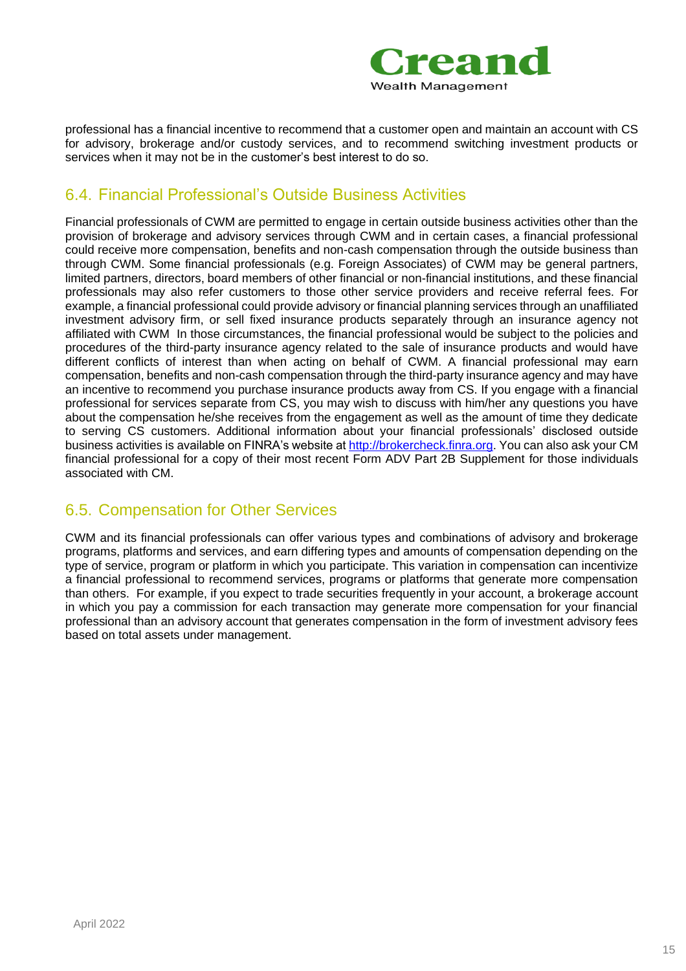

professional has a financial incentive to recommend that a customer open and maintain an account with CS for advisory, brokerage and/or custody services, and to recommend switching investment products or services when it may not be in the customer's best interest to do so.

### 6.4. Financial Professional's Outside Business Activities

Financial professionals of CWM are permitted to engage in certain outside business activities other than the provision of brokerage and advisory services through CWM and in certain cases, a financial professional could receive more compensation, benefits and non-cash compensation through the outside business than through CWM. Some financial professionals (e.g. Foreign Associates) of CWM may be general partners, limited partners, directors, board members of other financial or non-financial institutions, and these financial professionals may also refer customers to those other service providers and receive referral fees. For example, a financial professional could provide advisory or financial planning services through an unaffiliated investment advisory firm, or sell fixed insurance products separately through an insurance agency not affiliated with CWM In those circumstances, the financial professional would be subject to the policies and procedures of the third-party insurance agency related to the sale of insurance products and would have different conflicts of interest than when acting on behalf of CWM. A financial professional may earn compensation, benefits and non-cash compensation through the third-party insurance agency and may have an incentive to recommend you purchase insurance products away from CS. If you engage with a financial professional for services separate from CS, you may wish to discuss with him/her any questions you have about the compensation he/she receives from the engagement as well as the amount of time they dedicate to serving CS customers. Additional information about your financial professionals' disclosed outside business activities is available on FINRA's website a[t http://brokercheck.finra.org.](http://brokercheck.finra.org/) You can also ask your CM financial professional for a copy of their most recent Form ADV Part 2B Supplement for those individuals associated with CM.

### 6.5. Compensation for Other Services

CWM and its financial professionals can offer various types and combinations of advisory and brokerage programs, platforms and services, and earn differing types and amounts of compensation depending on the type of service, program or platform in which you participate. This variation in compensation can incentivize a financial professional to recommend services, programs or platforms that generate more compensation than others. For example, if you expect to trade securities frequently in your account, a brokerage account in which you pay a commission for each transaction may generate more compensation for your financial professional than an advisory account that generates compensation in the form of investment advisory fees based on total assets under management.